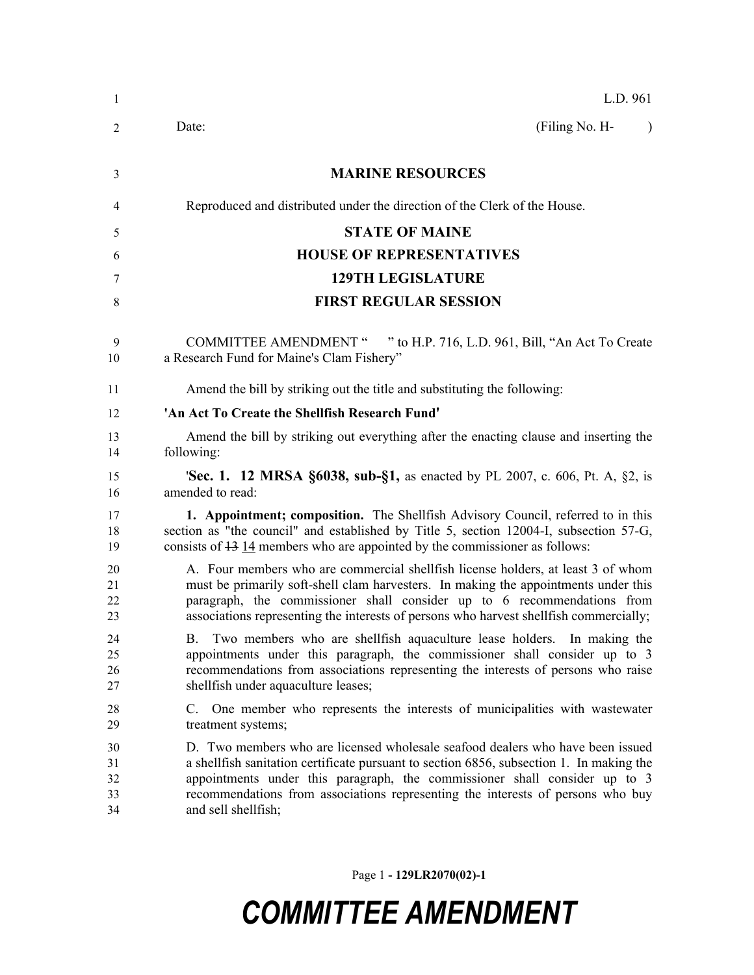| -1                         | L.D. 961                                                                                                                                                                                                                                                                                                                                                           |
|----------------------------|--------------------------------------------------------------------------------------------------------------------------------------------------------------------------------------------------------------------------------------------------------------------------------------------------------------------------------------------------------------------|
| 2                          | (Filing No. H-<br>Date:<br>$\lambda$                                                                                                                                                                                                                                                                                                                               |
| 3                          | <b>MARINE RESOURCES</b>                                                                                                                                                                                                                                                                                                                                            |
| 4                          | Reproduced and distributed under the direction of the Clerk of the House.                                                                                                                                                                                                                                                                                          |
| 5                          | <b>STATE OF MAINE</b>                                                                                                                                                                                                                                                                                                                                              |
| 6                          | <b>HOUSE OF REPRESENTATIVES</b>                                                                                                                                                                                                                                                                                                                                    |
| 7                          | <b>129TH LEGISLATURE</b>                                                                                                                                                                                                                                                                                                                                           |
| 8                          | <b>FIRST REGULAR SESSION</b>                                                                                                                                                                                                                                                                                                                                       |
| 9<br>10                    | <b>COMMITTEE AMENDMENT "</b><br>" to H.P. 716, L.D. 961, Bill, "An Act To Create"<br>a Research Fund for Maine's Clam Fishery"                                                                                                                                                                                                                                     |
| 11                         | Amend the bill by striking out the title and substituting the following:                                                                                                                                                                                                                                                                                           |
| 12                         | 'An Act To Create the Shellfish Research Fund'                                                                                                                                                                                                                                                                                                                     |
| 13<br>14                   | Amend the bill by striking out everything after the enacting clause and inserting the<br>following:                                                                                                                                                                                                                                                                |
| 15<br>16                   | <b>Sec. 1. 12 MRSA §6038, sub-§1,</b> as enacted by PL 2007, c. 606, Pt. A, §2, is<br>amended to read:                                                                                                                                                                                                                                                             |
| 17<br>18<br>19             | 1. Appointment; composition. The Shellfish Advisory Council, referred to in this<br>section as "the council" and established by Title 5, section 12004-I, subsection 57-G,<br>consists of $\frac{13}{14}$ members who are appointed by the commissioner as follows:                                                                                                |
| 20<br>21<br>22<br>23       | A. Four members who are commercial shell fish license holders, at least 3 of whom<br>must be primarily soft-shell clam harvesters. In making the appointments under this<br>paragraph, the commissioner shall consider up to 6 recommendations from<br>associations representing the interests of persons who harvest shellfish commercially;                      |
| 24<br>25<br>26<br>27       | B. Two members who are shell fish aquaculture lease holders. In making the<br>appointments under this paragraph, the commissioner shall consider up to 3<br>recommendations from associations representing the interests of persons who raise<br>shellfish under aquaculture leases;                                                                               |
| 28<br>29                   | C. One member who represents the interests of municipalities with wastewater<br>treatment systems;                                                                                                                                                                                                                                                                 |
| 30<br>31<br>32<br>33<br>34 | D. Two members who are licensed wholesale seafood dealers who have been issued<br>a shellfish sanitation certificate pursuant to section 6856, subsection 1. In making the<br>appointments under this paragraph, the commissioner shall consider up to 3<br>recommendations from associations representing the interests of persons who buy<br>and sell shellfish; |

Page 1 **- 129LR2070(02)-1**

## *COMMITTEE AMENDMENT*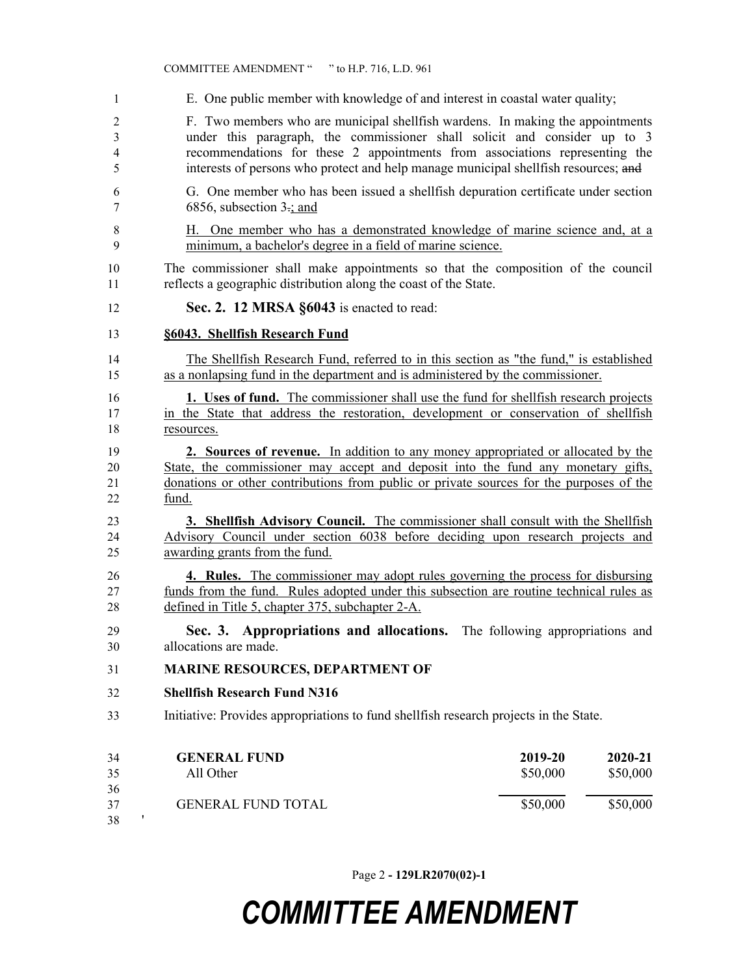|                               | COMMITTEE AMENDMENT " " to H.P. 716, L.D. 961                                                                                                                                                                                                                                                                                      |                     |                     |
|-------------------------------|------------------------------------------------------------------------------------------------------------------------------------------------------------------------------------------------------------------------------------------------------------------------------------------------------------------------------------|---------------------|---------------------|
| $\mathbf{1}$                  | E. One public member with knowledge of and interest in coastal water quality;                                                                                                                                                                                                                                                      |                     |                     |
| $\overline{2}$<br>3<br>4<br>5 | F. Two members who are municipal shell fish wardens. In making the appointments<br>under this paragraph, the commissioner shall solicit and consider up to 3<br>recommendations for these 2 appointments from associations representing the<br>interests of persons who protect and help manage municipal shellfish resources; and |                     |                     |
| 6<br>7                        | G. One member who has been issued a shell fish depuration certificate under section<br>6856, subsection $3\div$ ; and                                                                                                                                                                                                              |                     |                     |
| 8<br>9                        | H. One member who has a demonstrated knowledge of marine science and, at a<br>minimum, a bachelor's degree in a field of marine science.                                                                                                                                                                                           |                     |                     |
| 10<br>11                      | The commissioner shall make appointments so that the composition of the council<br>reflects a geographic distribution along the coast of the State.                                                                                                                                                                                |                     |                     |
| 12                            | Sec. 2. 12 MRSA §6043 is enacted to read:                                                                                                                                                                                                                                                                                          |                     |                     |
| 13                            | §6043. Shellfish Research Fund                                                                                                                                                                                                                                                                                                     |                     |                     |
| 14<br>15                      | The Shellfish Research Fund, referred to in this section as "the fund," is established<br>as a nonlapsing fund in the department and is administered by the commissioner.                                                                                                                                                          |                     |                     |
| 16<br>17<br>18                | <b>1.</b> Uses of fund. The commissioner shall use the fund for shellfish research projects<br>in the State that address the restoration, development or conservation of shellfish<br>resources.                                                                                                                                   |                     |                     |
| 19<br>20<br>21<br>22          | <b>2. Sources of revenue.</b> In addition to any money appropriated or allocated by the<br>State, the commissioner may accept and deposit into the fund any monetary gifts,<br>donations or other contributions from public or private sources for the purposes of the<br>fund.                                                    |                     |                     |
| 23<br>24<br>25                | 3. Shellfish Advisory Council. The commissioner shall consult with the Shellfish<br>Advisory Council under section 6038 before deciding upon research projects and<br>awarding grants from the fund.                                                                                                                               |                     |                     |
| 26<br>27<br>28                | <b>4. Rules.</b> The commissioner may adopt rules governing the process for disbursing<br>funds from the fund. Rules adopted under this subsection are routine technical rules as<br>defined in Title 5, chapter 375, subchapter 2-A.                                                                                              |                     |                     |
| 29<br>30                      | Sec. 3. Appropriations and allocations. The following appropriations and<br>allocations are made.                                                                                                                                                                                                                                  |                     |                     |
| 31                            | <b>MARINE RESOURCES, DEPARTMENT OF</b>                                                                                                                                                                                                                                                                                             |                     |                     |
| 32                            | <b>Shellfish Research Fund N316</b>                                                                                                                                                                                                                                                                                                |                     |                     |
| 33                            | Initiative: Provides appropriations to fund shellfish research projects in the State.                                                                                                                                                                                                                                              |                     |                     |
| 34<br>35<br>36                | <b>GENERAL FUND</b><br>All Other                                                                                                                                                                                                                                                                                                   | 2019-20<br>\$50,000 | 2020-21<br>\$50,000 |
| 37<br>$38\,$                  | <b>GENERAL FUND TOTAL</b>                                                                                                                                                                                                                                                                                                          | \$50,000            | \$50,000            |

Page 2 **- 129LR2070(02)-1**

## *COMMITTEE AMENDMENT*